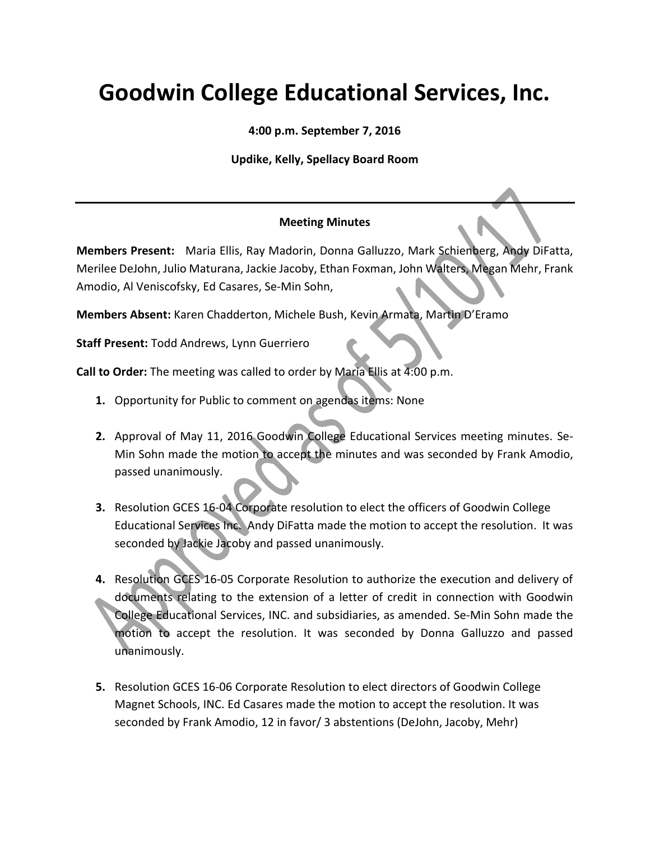## **Goodwin College Educational Services, Inc.**

**4:00 p.m. September 7, 2016**

## **Updike, Kelly, Spellacy Board Room**

## **Meeting Minutes**

**Members Present:** Maria Ellis, Ray Madorin, Donna Galluzzo, Mark Schienberg, Andy DiFatta, Merilee DeJohn, Julio Maturana, Jackie Jacoby, Ethan Foxman, John Walters, Megan Mehr, Frank Amodio, Al Veniscofsky, Ed Casares, Se-Min Sohn,

**Members Absent:** Karen Chadderton, Michele Bush, Kevin Armata, Martin D'Eramo

**Staff Present:** Todd Andrews, Lynn Guerriero

**Call to Order:** The meeting was called to order by Maria Ellis at 4:00 p.m.

- **1.** Opportunity for Public to comment on agendas items: None
- **2.** Approval of May 11, 2016 Goodwin College Educational Services meeting minutes. Se-Min Sohn made the motion to accept the minutes and was seconded by Frank Amodio, passed unanimously.
- **3.** Resolution GCES 16-04 Corporate resolution to elect the officers of Goodwin College Educational Services Inc. Andy DiFatta made the motion to accept the resolution. It was seconded by Jackie Jacoby and passed unanimously.
- **4.** Resolution GCES 16-05 Corporate Resolution to authorize the execution and delivery of documents relating to the extension of a letter of credit in connection with Goodwin College Educational Services, INC. and subsidiaries, as amended. Se-Min Sohn made the motion to accept the resolution. It was seconded by Donna Galluzzo and passed unanimously.
- **5.** Resolution GCES 16-06 Corporate Resolution to elect directors of Goodwin College Magnet Schools, INC. Ed Casares made the motion to accept the resolution. It was seconded by Frank Amodio, 12 in favor/ 3 abstentions (DeJohn, Jacoby, Mehr)